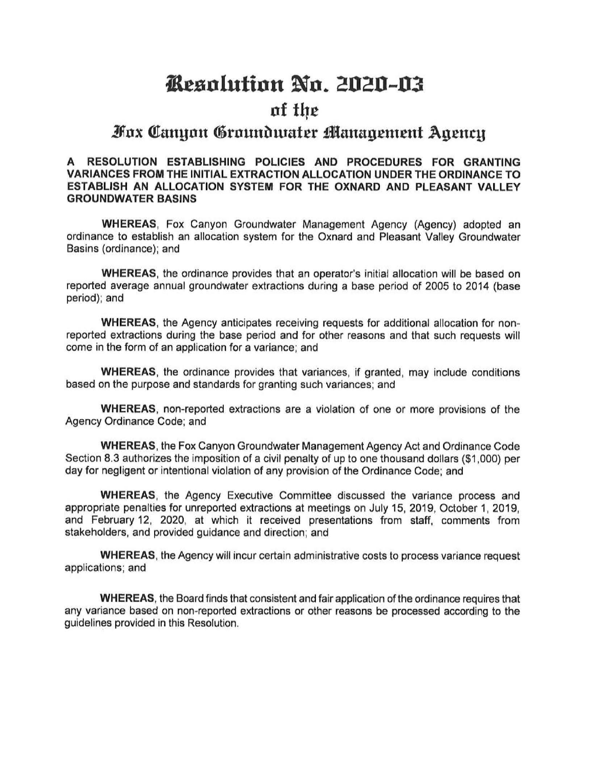# *Kesolution No. 2020-03*

# nf t{Jc

# Fox Canuon Groundwater Management Agency

**A RESOLUTION ESTABLISHING POLICIES AND PROCEDURES FOR GRANTING VARIANCES FROM THE INITIAL EXTRACTION ALLOCATION UNDER** THE **ORDINANCE TO ESTABLISH AN ALLOCATION SYSTEM FOR THE OXNARD AND PLEASANT VALLEY GROUNDWATER BASINS** 

**WHEREAS,** Fox Canyon Groundwater Management Agency (Agency) adopted an ordinance to establish an allocation system for the Oxnard and Pleasant Valley Groundwater Basins (ordinance); and

**WHEREAS,** the ordinance provides that an operator's initial allocation will be based on reported average annual groundwater extractions during a base period of 2005 to 2014 (base period); and

**WHEREAS,** the Agency anticipates receiving requests for additional allocation for nonreported extractions during the base period and for other reasons and that such requests will come in the form of an application for a variance; and

**WHEREAS,** the ordinance provides that variances, if granted, may include conditions based on the purpose and standards for granting such variances; and

**WHEREAS,** non-reported extractions are a violation of one or more provisions of the Agency Ordinance Code; and

**WHEREAS,** the Fox Canyon Groundwater Management Agency Act and Ordinance Code Section 8.3 authorizes the imposition of a civil penalty of up to one thousand dollars (\$1,000) per day for negligent or intentional violation of any provision of the Ordinance Code; and

**WHEREAS,** the Agency Executive Committee discussed the variance process and appropriate penalties tor unreported extractions at meetings on July 15, 2019, October 1, 2019, and February 12, 2020, at which it received presentations from staff, comments from stakeholders, and provided guidance and direction; and

**WHEREAS,** the Agency will incur certain administrative costs to process variance request applications; and

**WHEREAS,** the Board finds that consistent and fair application of the ordinance requires that any variance based on non-reported extractions or other reasons be processed according to the guidelines provided in this Resolution.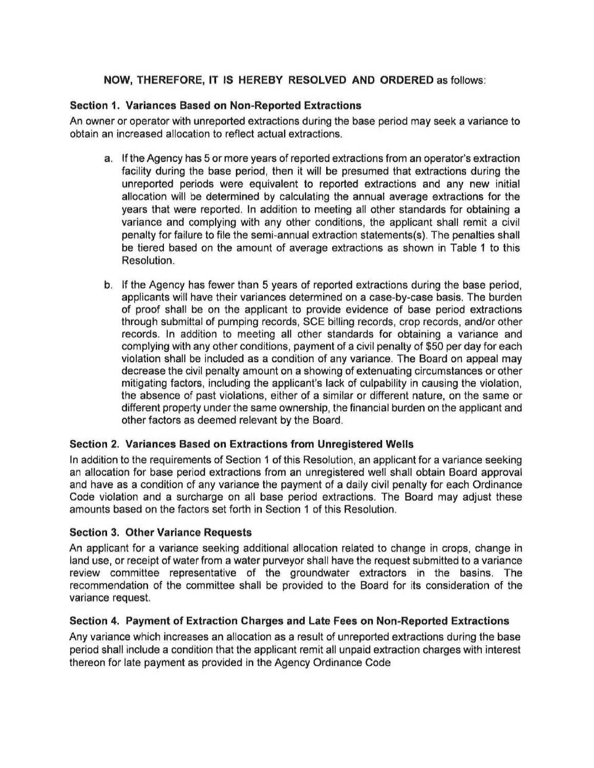## **NOW, THEREFORE, IT IS HEREBY RESOLVED AND ORDERED** as follows:

### **Section 1. Variances Based on Non-Reported Extractions**

An owner or operator with unreported extractions during the base period may seek a variance to obtain an increased allocation to reflect actual extractions.

- a. If the Agency has 5 or more years of reported extractions from an operator's extraction facility during the base period, then it will be presumed that extractions during the unreported periods were equivalent to reported extractions and any new initial allocation will be determined by calculating the annual average extractions for the years that were reported. In addition to meeting all other standards for obtaining a variance and complying with any other conditions, the applicant shall remit a civil penalty for failure to file the semi-annual extraction statements(s). The penalties shall be tiered based on the amount of average extractions as shown in Table 1 to this Resolution.
- b. If the Agency has fewer than 5 years of reported extractions during the base period, applicants will have their variances determined on a case-by-case basis. The burden of proof shall be on the applicant to provide evidence of base period extractions through submittal of pumping records, SCE billing records, crop records, and/or other records. In addition to meeting all other standards for obtaining a variance and complying with any other conditions, payment of a civil penalty of \$50 per day for each violation shall be included as a condition of any variance. The Board on appeal may decrease the civil penalty amount on a showing of extenuating circumstances or other mitigating factors, including the applicant's lack of culpability in causing the violation, the absence of past violations, either of a similar or different nature, on the same or different property under the same ownership, the financial burden on the applicant and other factors as deemed relevant by the Board.

#### **Section 2. Variances Based on Extractions from Unregistered Wells**

In addition to the requirements of Section 1 of this Resolution, an applicant for a variance seeking an allocation for base period extractions from an unregistered well shall obtain Board approval and have as a condition of any variance the payment of a daily civil penalty for each Ordinance Code violation and a surcharge on all base period extractions. The Board may adjust these amounts based on the factors set forth in Section 1 of this Resolution.

#### **Section 3. Other Variance Requests**

An applicant for a variance seeking additional allocation related to change in crops, change in land use, or receipt of water from a water purveyor shall have the request submitted to a variance review committee representative of the groundwater extractors in the basins. The recommendation of the committee shall be provided to the Board for its consideration of the variance request.

#### **Section 4. Payment of Extraction Charges and Late Fees on Non-Reported Extractions**

Any variance which increases an allocation as a result of unreported extractions during the base period shall include a condition that the applicant remit all unpaid extraction charges with interest thereon for late payment as provided in the Agency Ordinance Code